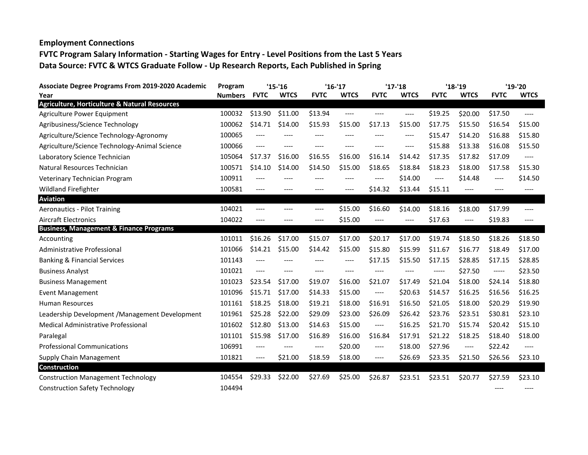## **Employment Connections FVTC Program Salary Information - Starting Wages for Entry - Level Positions from the Last 5 Years Data Source: FVTC & WTCS Graduate Follow - Up Research Reports, Each Published in Spring**

| <b>Associate Degree Programs From 2019-2020 Academic</b> | Program        | $'15 - 16$  |             | $'16-'17$   |             | $'17-'18$   |             | $'18 - 19$  |             | '19-'20     |             |
|----------------------------------------------------------|----------------|-------------|-------------|-------------|-------------|-------------|-------------|-------------|-------------|-------------|-------------|
| Year                                                     | <b>Numbers</b> | <b>FVTC</b> | <b>WTCS</b> | <b>FVTC</b> | <b>WTCS</b> | <b>FVTC</b> | <b>WTCS</b> | <b>FVTC</b> | <b>WTCS</b> | <b>FVTC</b> | <b>WTCS</b> |
| <b>Agriculture, Horticulture &amp; Natural Resources</b> |                |             |             |             |             |             |             |             |             |             |             |
| Agriculture Power Equipment                              | 100032         | \$13.90     | \$11.00     | \$13.94     | $---$       | ----        | $---$       | \$19.25     | \$20.00     | \$17.50     | $---$       |
| Agribusiness/Science Technology                          | 100062         | \$14.71     | \$14.00     | \$15.93     | \$15.00     | \$17.13     | \$15.00     | \$17.75     | \$15.50     | \$16.54     | \$15.00     |
| Agriculture/Science Technology-Agronomy                  | 100065         | $---$       | ----        | $---$       | $--- -$     | ----        | ----        | \$15.47     | \$14.20     | \$16.88     | \$15.80     |
| Agriculture/Science Technology-Animal Science            | 100066         | ----        | $---$       | $---$       | $---$       | ----        | $---$       | \$15.88     | \$13.38     | \$16.08     | \$15.50     |
| Laboratory Science Technician                            | 105064         | \$17.37     | \$16.00     | \$16.55     | \$16.00     | \$16.14     | \$14.42     | \$17.35     | \$17.82     | \$17.09     | ----        |
| Natural Resources Technician                             | 100571         | \$14.10     | \$14.00     | \$14.50     | \$15.00     | \$18.65     | \$18.84     | \$18.23     | \$18.00     | \$17.58     | \$15.30     |
| Veterinary Technician Program                            | 100911         | ----        |             | ----        | ----        | ----        | \$14.00     | ----        | \$14.48     | $-----$     | \$14.50     |
| <b>Wildland Firefighter</b>                              | 100581         | ----        |             | ----        | ----        | \$14.32     | \$13.44     | \$15.11     | ----        | ----        | ----        |
| <b>Aviation</b>                                          |                |             |             |             |             |             |             |             |             |             |             |
| <b>Aeronautics - Pilot Training</b>                      | 104021         | $---$       |             | ----        | \$15.00     | \$16.60     | \$14.00     | \$18.16     | \$18.00     | \$17.99     | $---$       |
| <b>Aircraft Electronics</b>                              | 104022         | $---$       | $--- -$     | $---$       | \$15.00     | ----        | ----        | \$17.63     | $---$       | \$19.83     | $---$       |
| <b>Business, Management &amp; Finance Programs</b>       |                |             |             |             |             |             |             |             |             |             |             |
| Accounting                                               | 101011         | \$16.26     | \$17.00     | \$15.07     | \$17.00     | \$20.17     | \$17.00     | \$19.74     | \$18.50     | \$18.26     | \$18.50     |
| Administrative Professional                              | 101066         | \$14.21     | \$15.00     | \$14.42     | \$15.00     | \$15.80     | \$15.99     | \$11.67     | \$16.77     | \$18.49     | \$17.00     |
| <b>Banking &amp; Financial Services</b>                  | 101143         | $---$       | $---$       | $---$       | $---$       | \$17.15     | \$15.50     | \$17.15     | \$28.85     | \$17.15     | \$28.85     |
| <b>Business Analyst</b>                                  | 101021         | ----        | $---$       | $---$       | $---$       | ----        | ----        | -----       | \$27.50     | -----       | \$23.50     |
| <b>Business Management</b>                               | 101023         | \$23.54     | \$17.00     | \$19.07     | \$16.00     | \$21.07     | \$17.49     | \$21.04     | \$18.00     | \$24.14     | \$18.80     |
| <b>Event Management</b>                                  | 101096         | \$15.71     | \$17.00     | \$14.33     | \$15.00     | $---$       | \$20.63     | \$14.57     | \$16.25     | \$16.56     | \$16.25     |
| <b>Human Resources</b>                                   | 101161         | \$18.25     | \$18.00     | \$19.21     | \$18.00     | \$16.91     | \$16.50     | \$21.05     | \$18.00     | \$20.29     | \$19.90     |
| Leadership Development / Management Development          | 101961         | \$25.28     | \$22.00     | \$29.09     | \$23.00     | \$26.09     | \$26.42     | \$23.76     | \$23.51     | \$30.81     | \$23.10     |
| Medical Administrative Professional                      | 101602         | \$12.80     | \$13.00     | \$14.63     | \$15.00     | $\cdots$    | \$16.25     | \$21.70     | \$15.74     | \$20.42     | \$15.10     |
| Paralegal                                                | 101101         | \$15.98     | \$17.00     | \$16.89     | \$16.00     | \$16.84     | \$17.91     | \$21.22     | \$18.25     | \$18.40     | \$18.00     |
| <b>Professional Communications</b>                       | 106991         | $---$       |             | $---$       | \$20.00     | $---$       | \$18.00     | \$27.96     | ----        | \$22.42     | $---$       |
| Supply Chain Management                                  | 101821         | $-----$     | \$21.00     | \$18.59     | \$18.00     | ----        | \$26.69     | \$23.35     | \$21.50     | \$26.56     | \$23.10     |
| Construction                                             |                |             |             |             |             |             |             |             |             |             |             |
| <b>Construction Management Technology</b>                | 104554         | \$29.33     | \$22.00     | \$27.69     | \$25.00     | \$26.87     | \$23.51     | \$23.51     | \$20.77     | \$27.59     | \$23.10     |
| <b>Construction Safety Technology</b>                    | 104494         |             |             |             |             |             |             |             |             | $--- -$     | ----        |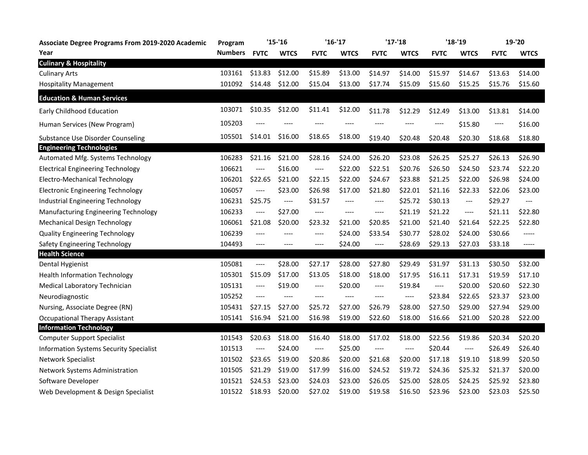| <b>Associate Degree Programs From 2019-2020 Academic</b> | Program        | $'15-'16$   |                                                                                                                                                                                                   | $'16-'17$                                                                                                                                                                                         |             | $'17-'18$   |             | $'18 - 19$  |                                                                                                                                                                                                                                                                                                                                                                                 | 19-'20      |             |
|----------------------------------------------------------|----------------|-------------|---------------------------------------------------------------------------------------------------------------------------------------------------------------------------------------------------|---------------------------------------------------------------------------------------------------------------------------------------------------------------------------------------------------|-------------|-------------|-------------|-------------|---------------------------------------------------------------------------------------------------------------------------------------------------------------------------------------------------------------------------------------------------------------------------------------------------------------------------------------------------------------------------------|-------------|-------------|
| Year                                                     | <b>Numbers</b> | <b>FVTC</b> | <b>WTCS</b>                                                                                                                                                                                       | <b>FVTC</b>                                                                                                                                                                                       | <b>WTCS</b> | <b>FVTC</b> | <b>WTCS</b> | <b>FVTC</b> | <b>WTCS</b>                                                                                                                                                                                                                                                                                                                                                                     | <b>FVTC</b> | <b>WTCS</b> |
| <b>Culinary &amp; Hospitality</b>                        |                |             |                                                                                                                                                                                                   |                                                                                                                                                                                                   |             |             |             |             |                                                                                                                                                                                                                                                                                                                                                                                 |             |             |
| <b>Culinary Arts</b>                                     | 103161         | \$13.83     | \$12.00                                                                                                                                                                                           | \$15.89                                                                                                                                                                                           | \$13.00     | \$14.97     | \$14.00     | \$15.97     | \$14.67                                                                                                                                                                                                                                                                                                                                                                         | \$13.63     | \$14.00     |
| <b>Hospitality Management</b>                            | 101092         | \$14.48     | \$12.00                                                                                                                                                                                           | \$15.04                                                                                                                                                                                           | \$13.00     | \$17.74     | \$15.09     | \$15.60     | \$15.25                                                                                                                                                                                                                                                                                                                                                                         | \$15.76     | \$15.60     |
| <b>Education &amp; Human Services</b>                    |                |             |                                                                                                                                                                                                   |                                                                                                                                                                                                   |             |             |             |             |                                                                                                                                                                                                                                                                                                                                                                                 |             |             |
| Early Childhood Education                                | 103071         | \$10.35     | \$12.00                                                                                                                                                                                           | \$11.41                                                                                                                                                                                           | \$12.00     | \$11.78     | \$12.29     | \$12.49     | \$13.00                                                                                                                                                                                                                                                                                                                                                                         | \$13.81     | \$14.00     |
| Human Services (New Program)                             | 105203         |             |                                                                                                                                                                                                   |                                                                                                                                                                                                   |             |             |             | ----        | \$15.80                                                                                                                                                                                                                                                                                                                                                                         | ----        | \$16.00     |
| Substance Use Disorder Counseling                        | 105501         | \$14.01     | \$16.00                                                                                                                                                                                           | \$18.65                                                                                                                                                                                           | \$18.00     | \$19.40     | \$20.48     | \$20.48     | \$20.30                                                                                                                                                                                                                                                                                                                                                                         | \$18.68     | \$18.80     |
| <b>Engineering Technologies</b>                          |                |             |                                                                                                                                                                                                   |                                                                                                                                                                                                   |             |             |             |             |                                                                                                                                                                                                                                                                                                                                                                                 |             |             |
| Automated Mfg. Systems Technology                        | 106283         | \$21.16     | \$21.00                                                                                                                                                                                           | \$28.16                                                                                                                                                                                           | \$24.00     | \$26.20     | \$23.08     | \$26.25     | \$25.27                                                                                                                                                                                                                                                                                                                                                                         | \$26.13     | \$26.90     |
| <b>Electrical Engineering Technology</b>                 | 106621         | ----        | \$16.00                                                                                                                                                                                           | $\qquad \qquad - - -$                                                                                                                                                                             | \$22.00     | \$22.51     | \$20.76     | \$26.50     | \$24.50                                                                                                                                                                                                                                                                                                                                                                         | \$23.74     | \$22.20     |
| Electro-Mechanical Technology                            | 106201         | \$22.65     | \$21.00                                                                                                                                                                                           | \$22.15                                                                                                                                                                                           | \$22.00     | \$24.67     | \$23.88     | \$21.25     | \$22.00                                                                                                                                                                                                                                                                                                                                                                         | \$26.98     | \$24.00     |
| <b>Electronic Engineering Technology</b>                 | 106057         | ----        | \$23.00                                                                                                                                                                                           | \$26.98                                                                                                                                                                                           | \$17.00     | \$21.80     | \$22.01     | \$21.16     | \$22.33                                                                                                                                                                                                                                                                                                                                                                         | \$22.06     | \$23.00     |
| Industrial Engineering Technology                        | 106231         | \$25.75     | $\hspace{0.02in} \hspace{0.02in} \hspace{0.02in} \hspace{0.02in} \hspace{0.02in} \hspace{0.02in} \hspace{0.02in} \hspace{0.02in} \hspace{0.02in} \hspace{0.02in} \hspace{0.02in} \hspace{0.02in}$ | \$31.57                                                                                                                                                                                           | $---$       | $\cdots$    | \$25.72     | \$30.13     | $\hspace{0.05cm} \ldots$                                                                                                                                                                                                                                                                                                                                                        | \$29.27     | $---$       |
| Manufacturing Engineering Technology                     | 106233         | ----        | \$27.00                                                                                                                                                                                           | ----                                                                                                                                                                                              | $---$       | $---$       | \$21.19     | \$21.22     | $\hspace{0.01em}\rule{0.7pt}{0.1em}\hspace{0.01em}\hspace{0.01em}\hspace{0.01em}\hspace{0.01em}\hspace{0.01em}\hspace{0.01em}\hspace{0.01em}\hspace{0.01em}\hspace{0.01em}\hspace{0.01em}\hspace{0.01em}\hspace{0.01em}\hspace{0.01em}\hspace{0.01em}\hspace{0.01em}\hspace{0.01em}\hspace{0.01em}\hspace{0.01em}\hspace{0.01em}\hspace{0.01em}\hspace{0.01em}\hspace{0.01em}\$ | \$21.11     | \$22.80     |
| <b>Mechanical Design Technology</b>                      | 106061         | \$21.08     | \$20.00                                                                                                                                                                                           | \$23.32                                                                                                                                                                                           | \$21.00     | \$20.85     | \$21.00     | \$21.40     | \$21.64                                                                                                                                                                                                                                                                                                                                                                         | \$22.25     | \$22.80     |
| <b>Quality Engineering Technology</b>                    | 106239         | ----        | $--- -$                                                                                                                                                                                           | ----                                                                                                                                                                                              | \$24.00     | \$33.54     | \$30.77     | \$28.02     | \$24.00                                                                                                                                                                                                                                                                                                                                                                         | \$30.66     | $-----1$    |
| Safety Engineering Technology                            | 104493         | ----        | $---$                                                                                                                                                                                             | $---$                                                                                                                                                                                             | \$24.00     | $\cdots$    | \$28.69     | \$29.13     | \$27.03                                                                                                                                                                                                                                                                                                                                                                         | \$33.18     | $-----$     |
| <b>Health Science</b>                                    |                |             |                                                                                                                                                                                                   |                                                                                                                                                                                                   |             |             |             |             |                                                                                                                                                                                                                                                                                                                                                                                 |             |             |
| Dental Hygienist                                         | 105081         | ----        | \$28.00                                                                                                                                                                                           | \$27.17                                                                                                                                                                                           | \$28.00     | \$27.80     | \$29.49     | \$31.97     | \$31.13                                                                                                                                                                                                                                                                                                                                                                         | \$30.50     | \$32.00     |
| <b>Health Information Technology</b>                     | 105301         | \$15.09     | \$17.00                                                                                                                                                                                           | \$13.05                                                                                                                                                                                           | \$18.00     | \$18.00     | \$17.95     | \$16.11     | \$17.31                                                                                                                                                                                                                                                                                                                                                                         | \$19.59     | \$17.10     |
| Medical Laboratory Technician                            | 105131         | ----        | \$19.00                                                                                                                                                                                           | $\qquad \qquad - - -$                                                                                                                                                                             | \$20.00     | $\cdots$    | \$19.84     | $\cdots$    | \$20.00                                                                                                                                                                                                                                                                                                                                                                         | \$20.60     | \$22.30     |
| Neurodiagnostic                                          | 105252         | ----        | $---$                                                                                                                                                                                             | $---$                                                                                                                                                                                             | ----        | $---$       | $---$       | \$23.84     | \$22.65                                                                                                                                                                                                                                                                                                                                                                         | \$23.37     | \$23.00     |
| Nursing, Associate Degree (RN)                           | 105431         | \$27.15     | \$27.00                                                                                                                                                                                           | \$25.72                                                                                                                                                                                           | \$27.00     | \$26.79     | \$28.00     | \$27.50     | \$29.00                                                                                                                                                                                                                                                                                                                                                                         | \$27.94     | \$29.00     |
| <b>Occupational Therapy Assistant</b>                    | 105141         | \$16.94     | \$21.00                                                                                                                                                                                           | \$16.98                                                                                                                                                                                           | \$19.00     | \$22.60     | \$18.00     | \$16.66     | \$21.00                                                                                                                                                                                                                                                                                                                                                                         | \$20.28     | \$22.00     |
| <b>Information Technology</b>                            |                |             |                                                                                                                                                                                                   |                                                                                                                                                                                                   |             |             |             |             |                                                                                                                                                                                                                                                                                                                                                                                 |             |             |
| <b>Computer Support Specialist</b>                       | 101543         | \$20.63     | \$18.00                                                                                                                                                                                           | \$16.40                                                                                                                                                                                           | \$18.00     | \$17.02     | \$18.00     | \$22.56     | \$19.86                                                                                                                                                                                                                                                                                                                                                                         | \$20.34     | \$20.20     |
| Information Systems Security Specialist                  | 101513         | ----        | \$24.00                                                                                                                                                                                           | $\hspace{0.02in} \hspace{0.02in} \hspace{0.02in} \hspace{0.02in} \hspace{0.02in} \hspace{0.02in} \hspace{0.02in} \hspace{0.02in} \hspace{0.02in} \hspace{0.02in} \hspace{0.02in} \hspace{0.02in}$ | \$25.00     | $\cdots$    | ----        | \$20.44     | $\qquad \qquad - - -$                                                                                                                                                                                                                                                                                                                                                           | \$26.49     | \$26.40     |
| <b>Network Specialist</b>                                | 101502         | \$23.65     | \$19.00                                                                                                                                                                                           | \$20.86                                                                                                                                                                                           | \$20.00     | \$21.68     | \$20.00     | \$17.18     | \$19.10                                                                                                                                                                                                                                                                                                                                                                         | \$18.99     | \$20.50     |
| Network Systems Administration                           | 101505         | \$21.29     | \$19.00                                                                                                                                                                                           | \$17.99                                                                                                                                                                                           | \$16.00     | \$24.52     | \$19.72     | \$24.36     | \$25.32                                                                                                                                                                                                                                                                                                                                                                         | \$21.37     | \$20.00     |
| Software Developer                                       | 101521         | \$24.53     | \$23.00                                                                                                                                                                                           | \$24.03                                                                                                                                                                                           | \$23.00     | \$26.05     | \$25.00     | \$28.05     | \$24.25                                                                                                                                                                                                                                                                                                                                                                         | \$25.92     | \$23.80     |
| Web Development & Design Specialist                      | 101522         | \$18.93     | \$20.00                                                                                                                                                                                           | \$27.02                                                                                                                                                                                           | \$19.00     | \$19.58     | \$16.50     | \$23.96     | \$23.00                                                                                                                                                                                                                                                                                                                                                                         | \$23.03     | \$25.50     |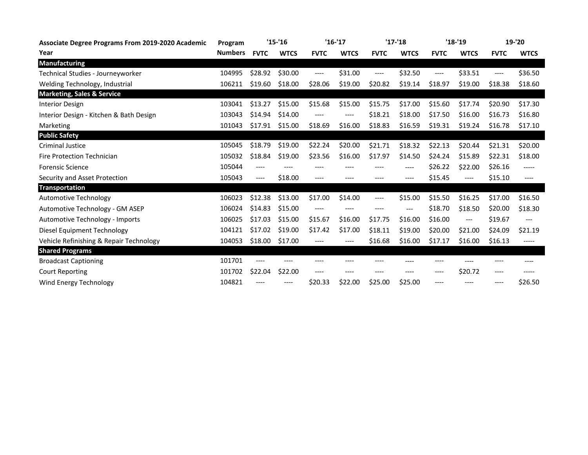| <b>Associate Degree Programs From 2019-2020 Academic</b> | Program        | $'15-'16$   |             | $'16 - 17$  |             | $'17 - 18$  |             | $'18 - 19$  |                         | 19-'20      |             |
|----------------------------------------------------------|----------------|-------------|-------------|-------------|-------------|-------------|-------------|-------------|-------------------------|-------------|-------------|
| Year                                                     | <b>Numbers</b> | <b>FVTC</b> | <b>WTCS</b> | <b>FVTC</b> | <b>WTCS</b> | <b>FVTC</b> | <b>WTCS</b> | <b>FVTC</b> | <b>WTCS</b>             | <b>FVTC</b> | <b>WTCS</b> |
| <b>Manufacturing</b>                                     |                |             |             |             |             |             |             |             |                         |             |             |
| Technical Studies - Journeyworker                        | 104995         | \$28.92     | \$30.00     | ----        | \$31.00     | $---$       | \$32.50     | ----        | \$33.51                 | $---$       | \$36.50     |
| Welding Technology, Industrial                           | 106211         | \$19.60     | \$18.00     | \$28.06     | \$19.00     | \$20.82     | \$19.14     | \$18.97     | \$19.00                 | \$18.38     | \$18.60     |
| <b>Marketing, Sales &amp; Service</b>                    |                |             |             |             |             |             |             |             |                         |             |             |
| <b>Interior Design</b>                                   | 103041         | \$13.27     | \$15.00     | \$15.68     | \$15.00     | \$15.75     | \$17.00     | \$15.60     | \$17.74                 | \$20.90     | \$17.30     |
| Interior Design - Kitchen & Bath Design                  | 103043         | \$14.94     | \$14.00     | ----        | $---$       | \$18.21     | \$18.00     | \$17.50     | \$16.00                 | \$16.73     | \$16.80     |
| Marketing                                                | 101043         | \$17.91     | \$15.00     | \$18.69     | \$16.00     | \$18.83     | \$16.59     | \$19.31     | \$19.24                 | \$16.78     | \$17.10     |
| <b>Public Safety</b>                                     |                |             |             |             |             |             |             |             |                         |             |             |
| <b>Criminal Justice</b>                                  | 105045         | \$18.79     | \$19.00     | \$22.24     | \$20.00     | \$21.71     | \$18.32     | \$22.13     | \$20.44                 | \$21.31     | \$20.00     |
| Fire Protection Technician                               | 105032         | \$18.84     | \$19.00     | \$23.56     | \$16.00     | \$17.97     | \$14.50     | \$24.24     | \$15.89                 | \$22.31     | \$18.00     |
| <b>Forensic Science</b>                                  | 105044         | ----        | $---$       | $- - - -$   | $- - - -$   | $---$       | ----        | \$26.22     | \$22.00                 | \$26.16     | $-----1$    |
| Security and Asset Protection                            | 105043         | ----        | \$18.00     | ----        | ----        | ----        | ----        | \$15.45     | $--- -$                 | \$15.10     | ----        |
| <b>Transportation</b>                                    |                |             |             |             |             |             |             |             |                         |             |             |
| Automotive Technology                                    | 106023         | \$12.38     | \$13.00     | \$17.00     | \$14.00     | $---$       | \$15.00     | \$15.50     | \$16.25                 | \$17.00     | \$16.50     |
| Automotive Technology - GM ASEP                          | 106024         | \$14.83     | \$15.00     | $---$       | $---$       | $---$       | $---$       | \$18.70     | \$18.50                 | \$20.00     | \$18.30     |
| Automotive Technology - Imports                          | 106025         | \$17.03     | \$15.00     | \$15.67     | \$16.00     | \$17.75     | \$16.00     | \$16.00     | $\qquad \qquad -\qquad$ | \$19.67     | $---$       |
| Diesel Equipment Technology                              | 104121         | \$17.02     | \$19.00     | \$17.42     | \$17.00     | \$18.11     | \$19.00     | \$20.00     | \$21.00                 | \$24.09     | \$21.19     |
| Vehicle Refinishing & Repair Technology                  | 104053         | \$18.00     | \$17.00     | ----        | ----        | \$16.68     | \$16.00     | \$17.17     | \$16.00                 | \$16.13     | $--- -$     |
| <b>Shared Programs</b>                                   |                |             |             |             |             |             |             |             |                         |             |             |
| <b>Broadcast Captioning</b>                              | 101701         | ----        | $---$       | ----        | ----        | ----        |             | ----        | ----                    | ----        | ----        |
| <b>Court Reporting</b>                                   | 101702         | \$22.04     | \$22.00     | $--- -$     | ----        | ----        | ----        | ----        | \$20.72                 | ----        | -----       |
| Wind Energy Technology                                   | 104821         | ----        | $---$       | \$20.33     | \$22.00     | \$25.00     | \$25.00     | ----        | ----                    | ----        | \$26.50     |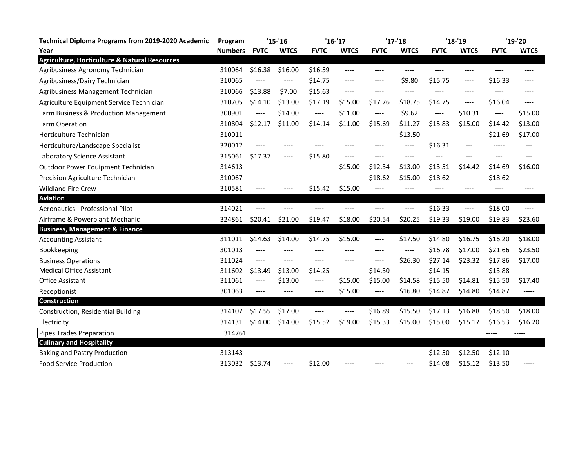| <b>Technical Diploma Programs from 2019-2020 Academic</b> | Program        | $'15-'16$   |             | $'16-'17$             |             | $'17-'18$             |                       | $'18-'19$   |                               | $'19-'20$   |                                                                                                              |
|-----------------------------------------------------------|----------------|-------------|-------------|-----------------------|-------------|-----------------------|-----------------------|-------------|-------------------------------|-------------|--------------------------------------------------------------------------------------------------------------|
| Year                                                      | <b>Numbers</b> | <b>FVTC</b> | <b>WTCS</b> | <b>FVTC</b>           | <b>WTCS</b> | <b>FVTC</b>           | <b>WTCS</b>           | <b>FVTC</b> | <b>WTCS</b>                   | <b>FVTC</b> | <b>WTCS</b>                                                                                                  |
| <b>Agriculture, Horticulture &amp; Natural Resources</b>  |                |             |             |                       |             |                       |                       |             |                               |             |                                                                                                              |
| Agribusiness Agronomy Technician                          | 310064         | \$16.38     | \$16.00     | \$16.59               | $---$       | $---$                 | ----                  | ----        | $---$                         | ----        | $---$                                                                                                        |
| Agribusiness/Dairy Technician                             | 310065         | ----        | ----        | \$14.75               | $---$       | $---$                 | \$9.80                | \$15.75     | $---$                         | \$16.33     | $---$                                                                                                        |
| Agribusiness Management Technician                        | 310066         | \$13.88     | \$7.00      | \$15.63               | $---$       | $---$                 | ----                  | ----        | $---$                         |             |                                                                                                              |
| Agriculture Equipment Service Technician                  | 310705         | \$14.10     | \$13.00     | \$17.19               | \$15.00     | \$17.76               | \$18.75               | \$14.75     | $---$                         | \$16.04     | ----                                                                                                         |
| Farm Business & Production Management                     | 300901         | ----        | \$14.00     | $\qquad \qquad - - -$ | \$11.00     | $\qquad \qquad - - -$ | \$9.62                | $---$       | \$10.31                       | $---$       | \$15.00                                                                                                      |
| Farm Operation                                            | 310804         | \$12.17     | \$11.00     | \$14.14               | \$11.00     | \$15.69               | \$11.27               | \$15.83     | \$15.00                       | \$14.42     | \$13.00                                                                                                      |
| Horticulture Technician                                   | 310011         | $---$       |             | ----                  | ----        | $---$                 | \$13.50               | $---$       | $---$                         | \$21.69     | \$17.00                                                                                                      |
| Horticulture/Landscape Specialist                         | 320012         | ----        | $--- -$     | ----                  | ----        | ----                  | ----                  | \$16.31     | ---                           | -----       | ---                                                                                                          |
| Laboratory Science Assistant                              | 315061         | \$17.37     | $---$       | \$15.80               | $---$       | $---$                 | ----                  | $---$       | ---                           | $---$       | ---                                                                                                          |
| Outdoor Power Equipment Technician                        | 314613         | ----        | $---$       | ----                  | \$15.00     | \$12.34               | \$13.00               | \$13.51     | \$14.42                       | \$14.69     | \$16.00                                                                                                      |
| Precision Agriculture Technician                          | 310067         | ----        | ----        | ----                  | $---$       | \$18.62               | \$15.00               | \$18.62     | $---$                         | \$18.62     | ----                                                                                                         |
| <b>Wildland Fire Crew</b>                                 | 310581         | ----        | ----        | \$15.42               | \$15.00     | $---$                 |                       | ----        | ----                          |             | ----                                                                                                         |
| <b>Aviation</b>                                           |                |             |             |                       |             |                       |                       |             |                               |             |                                                                                                              |
| Aeronautics - Professional Pilot                          | 314021         | $---$       |             | ----                  |             |                       | ----                  | \$16.33     | $\qquad \qquad - - -$         | \$18.00     | $---$                                                                                                        |
| Airframe & Powerplant Mechanic                            | 324861         | \$20.41     | \$21.00     | \$19.47               | \$18.00     | \$20.54               | \$20.25               | \$19.33     | \$19.00                       | \$19.83     | \$23.60                                                                                                      |
| <b>Business, Management &amp; Finance</b>                 |                |             |             |                       |             |                       |                       |             |                               |             |                                                                                                              |
| <b>Accounting Assistant</b>                               | 311011         | \$14.63     | \$14.00     | \$14.75               | \$15.00     | $---$                 | \$17.50               | \$14.80     | \$16.75                       | \$16.20     | \$18.00                                                                                                      |
| Bookkeeping                                               | 301013         |             |             |                       |             | ----                  | ----                  | \$16.78     | \$17.00                       | \$21.66     | \$23.50                                                                                                      |
| <b>Business Operations</b>                                | 311024         | ----        | $---$       | ----                  | ----        | $---$                 | \$26.30               | \$27.14     | \$23.32                       | \$17.86     | \$17.00                                                                                                      |
| <b>Medical Office Assistant</b>                           | 311602         | \$13.49     | \$13.00     | \$14.25               | $---$       | \$14.30               | $\qquad \qquad - - -$ | \$14.15     | $\hspace{1.5cm} \textbf{---}$ | \$13.88     | $\hspace{0.05cm}\rule{0.7pt}{0.1ex}\hspace{0.025cm}$ - $\hspace{0.025cm}\rule{0.7pt}{0.1ex}\hspace{0.025cm}$ |
| <b>Office Assistant</b>                                   | 311061         | ----        | \$13.00     | ----                  | \$15.00     | \$15.00               | \$14.58               | \$15.50     | \$14.81                       | \$15.50     | \$17.40                                                                                                      |
| Receptionist                                              | 301063         | ----        | $---$       | $--- -$               | \$15.00     | $\cdots$              | \$16.80               | \$14.87     | \$14.80                       | \$14.87     | -----                                                                                                        |
| Construction                                              |                |             |             |                       |             |                       |                       |             |                               |             |                                                                                                              |
| Construction, Residential Building                        | 314107         | \$17.55     | \$17.00     | ----                  | ----        | \$16.89               | \$15.50               | \$17.13     | \$16.88                       | \$18.50     | \$18.00                                                                                                      |
| Electricity                                               | 314131         | \$14.00     | \$14.00     | \$15.52               | \$19.00     | \$15.33               | \$15.00               | \$15.00     | \$15.17                       | \$16.53     | \$16.20                                                                                                      |
| <b>Pipes Trades Preparation</b>                           | 314761         |             |             |                       |             |                       |                       |             |                               |             | -----                                                                                                        |
| <b>Culinary and Hospitality</b>                           |                |             |             |                       |             |                       |                       |             |                               |             |                                                                                                              |
| <b>Baking and Pastry Production</b>                       | 313143         | ----        | $---$       | ----                  | ----        | ----                  | ----                  | \$12.50     | \$12.50                       | \$12.10     | -----                                                                                                        |
| <b>Food Service Production</b>                            | 313032         | \$13.74     | ----        | \$12.00               | ----        | ----                  | $---$                 | \$14.08     | \$15.12                       | \$13.50     | -----                                                                                                        |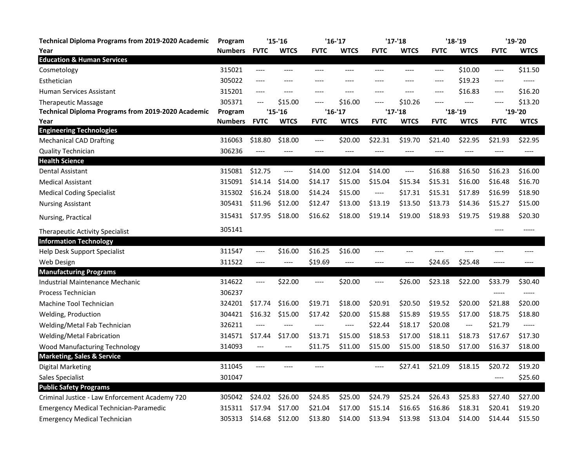| <b>Technical Diploma Programs from 2019-2020 Academic</b> | Program        | $'15-'16$        |                  | $'16-'17$   |                       | $'17 - 18$            |             | $'18-'19$      |                          | '19-'20         |             |
|-----------------------------------------------------------|----------------|------------------|------------------|-------------|-----------------------|-----------------------|-------------|----------------|--------------------------|-----------------|-------------|
| Year                                                      | <b>Numbers</b> | <b>FVTC</b>      | <b>WTCS</b>      | <b>FVTC</b> | <b>WTCS</b>           | <b>FVTC</b>           | <b>WTCS</b> | <b>FVTC</b>    | <b>WTCS</b>              | <b>FVTC</b>     | <b>WTCS</b> |
| <b>Education &amp; Human Services</b>                     |                |                  |                  |             |                       |                       |             |                |                          |                 |             |
| Cosmetology                                               | 315021         | $---$            | ----             | ----        | ----                  | ----                  | ----        | $---$          | \$10.00                  | $---$           | \$11.50     |
| Esthetician                                               | 305022         | ----             | ----             | ----        | ----                  | ----                  | ----        | $---$          | \$19.23                  | $---$           |             |
| <b>Human Services Assistant</b>                           | 315201         | ----             | $---$            | $---$       | $---$                 | ----                  | ----        | ----           | \$16.83                  | $---$           | \$16.20     |
| <b>Therapeutic Massage</b>                                | 305371         | $---$            | \$15.00          | $---$       | \$16.00               | ----                  | \$10.26     | $---$          | $---$                    | $---$           | \$13.20     |
| Technical Diploma Programs from 2019-2020 Academic        | Program        |                  | $'15 - 16$       |             | $'16-'17$             |                       | $'17 - 18$  |                | $'18-'19$                |                 | '19-'20     |
| Year                                                      | <b>Numbers</b> | <b>FVTC</b>      | <b>WTCS</b>      | <b>FVTC</b> | <b>WTCS</b>           | <b>FVTC</b>           | WTCS        | <b>FVTC</b>    | <b>WTCS</b>              | <b>FVTC</b>     | <b>WTCS</b> |
| <b>Engineering Technologies</b>                           |                |                  |                  | $---$       |                       | \$22.31               | \$19.70     | \$21.40        | \$22.95                  |                 |             |
| <b>Mechanical CAD Drafting</b>                            | 316063         | \$18.80<br>$---$ | \$18.00<br>$---$ | $---$       | \$20.00<br>----       | ----                  | ----        | ----           | $---$                    | \$21.93<br>---- | \$22.95     |
| <b>Quality Technician</b><br><b>Health Science</b>        | 306236         |                  |                  |             |                       |                       |             |                |                          |                 | ----        |
| Dental Assistant                                          | 315081         | \$12.75          | ----             | \$14.00     | \$12.04               | \$14.00               | ----        | \$16.88        | \$16.50                  | \$16.23         | \$16.00     |
| <b>Medical Assistant</b>                                  | 315091         | \$14.14          | \$14.00          | \$14.17     | \$15.00               | \$15.04               | \$15.34     | \$15.31        | \$16.00                  | \$16.48         | \$16.70     |
| <b>Medical Coding Specialist</b>                          | 315302         | \$16.24          | \$18.00          | \$14.24     | \$15.00               | $\qquad \qquad - - -$ | \$17.31     | \$15.31        | \$17.89                  | \$16.99         | \$18.90     |
| <b>Nursing Assistant</b>                                  | 305431         | \$11.96          | \$12.00          | \$12.47     | \$13.00               | \$13.19               | \$13.50     | \$13.73        | \$14.36                  | \$15.27         | \$15.00     |
| Nursing, Practical                                        | 315431         | \$17.95          | \$18.00          | \$16.62     | \$18.00               | \$19.14               | \$19.00     | \$18.93        | \$19.75                  | \$19.88         | \$20.30     |
| Therapeutic Activity Specialist                           | 305141         |                  |                  |             |                       |                       |             |                |                          | $---$           | -----       |
| <b>Information Technology</b>                             |                |                  |                  |             |                       |                       |             |                |                          |                 |             |
| Help Desk Support Specialist                              | 311547         | $---$            | \$16.00          | \$16.25     | \$16.00               | ----                  | $---$       | $\overline{a}$ | $\overline{a}$           | $---$           | $---$       |
| Web Design                                                | 311522         | $---$            | $---$            | \$19.69     | $\qquad \qquad - - -$ | ----                  | $---$       | \$24.65        | \$25.48                  | $-----$         | $---$       |
| <b>Manufacturing Programs</b>                             |                |                  |                  |             |                       |                       |             |                |                          |                 |             |
| <b>Industrial Maintenance Mechanic</b>                    | 314622         | $---$            | \$22.00          | $---$       | \$20.00               | ----                  | \$26.00     | \$23.18        | \$22.00                  | \$33.79         | \$30.40     |
| <b>Process Technician</b>                                 | 306237         |                  |                  |             |                       |                       |             |                |                          |                 |             |
| Machine Tool Technician                                   | 324201         | \$17.74          | \$16.00          | \$19.71     | \$18.00               | \$20.91               | \$20.50     | \$19.52        | \$20.00                  | \$21.88         | \$20.00     |
| Welding, Production                                       | 304421         | \$16.32          | \$15.00          | \$17.42     | \$20.00               | \$15.88               | \$15.89     | \$19.55        | \$17.00                  | \$18.75         | \$18.80     |
| Welding/Metal Fab Technician                              | 326211         | $---$            | $---$            | $---$       | $---$                 | \$22.44               | \$18.17     | \$20.08        | $\hspace{0.05cm} \ldots$ | \$21.79         | -----       |
| Welding/Metal Fabrication                                 | 314571         | \$17.44          | \$17.00          | \$13.71     | \$15.00               | \$18.53               | \$17.00     | \$18.11        | \$18.73                  | \$17.67         | \$17.30     |
| Wood Manufacturing Technology                             | 314093         | ---              | ---              | \$11.75     | \$11.00               | \$15.00               | \$15.00     | \$18.50        | \$17.00                  | \$16.37         | \$18.00     |
| <b>Marketing, Sales &amp; Service</b>                     |                |                  |                  |             |                       |                       |             |                |                          |                 |             |
| Digital Marketing                                         | 311045         | $---$            |                  | ----        |                       | ----                  | \$27.41     | \$21.09        | \$18.15                  | \$20.72         | \$19.20     |
| Sales Specialist                                          | 301047         |                  |                  |             |                       |                       |             |                |                          | $---$           | \$25.60     |
| <b>Public Safety Programs</b>                             |                |                  |                  |             |                       |                       |             |                |                          |                 |             |
| Criminal Justice - Law Enforcement Academy 720            | 305042         | \$24.02          | \$26.00          | \$24.85     | \$25.00               | \$24.79               | \$25.24     | \$26.43        | \$25.83                  | \$27.40         | \$27.00     |
| <b>Emergency Medical Technician-Paramedic</b>             | 315311         | \$17.94          | \$17.00          | \$21.04     | \$17.00               | \$15.14               | \$16.65     | \$16.86        | \$18.31                  | \$20.41         | \$19.20     |
| <b>Emergency Medical Technician</b>                       | 305313         | \$14.68          | \$12.00          | \$13.80     | \$14.00               | \$13.94               | \$13.98     | \$13.04        | \$14.00                  | \$14.44         | \$15.50     |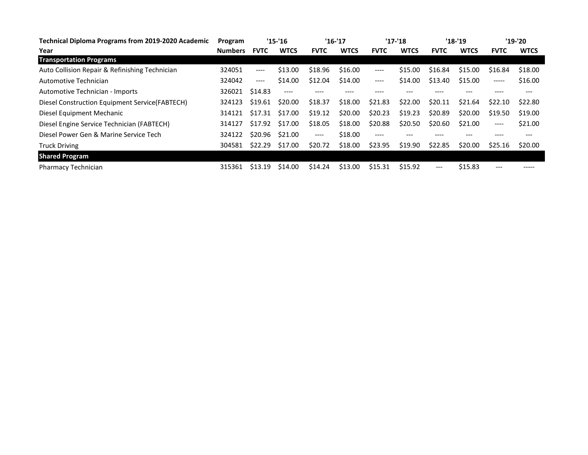| <b>Technical Diploma Programs from 2019-2020 Academic</b> | Program        | $'15 - 16$  |             | $'16-'17$   |             | $'17 - 18$  |             | $'18-'19$   |             | '19-'20     |             |
|-----------------------------------------------------------|----------------|-------------|-------------|-------------|-------------|-------------|-------------|-------------|-------------|-------------|-------------|
| Year                                                      | <b>Numbers</b> | <b>FVTC</b> | <b>WTCS</b> | <b>FVTC</b> | <b>WTCS</b> | <b>FVTC</b> | <b>WTCS</b> | <b>FVTC</b> | <b>WTCS</b> | <b>FVTC</b> | <b>WTCS</b> |
| <b>Transportation Programs</b>                            |                |             |             |             |             |             |             |             |             |             |             |
| Auto Collision Repair & Refinishing Technician            | 324051         | ----        | \$13.00     | \$18.96     | \$16.00     | $---$       | \$15.00     | \$16.84     | \$15.00     | \$16.84     | \$18.00     |
| Automotive Technician                                     | 324042         | $---$       | \$14.00     | \$12.04     | \$14.00     | $---$       | \$14.00     | \$13.40     | \$15.00     | $- - - - -$ | \$16.00     |
| Automotive Technician - Imports                           | 326021         | \$14.83     | $---$       |             |             |             |             |             |             |             |             |
| Diesel Construction Equipment Service (FABTECH)           | 324123         | \$19.61     | \$20.00     | \$18.37     | \$18.00     | \$21.83     | \$22.00     | \$20.11     | \$21.64     | \$22.10     | \$22.80     |
| Diesel Equipment Mechanic                                 | 314121         | \$17.31     | \$17.00     | \$19.12     | \$20.00     | \$20.23     | \$19.23     | \$20.89     | \$20.00     | \$19.50     | \$19.00     |
| Diesel Engine Service Technician (FABTECH)                | 314127         | \$17.92     | \$17.00     | \$18.05     | \$18.00     | \$20.88     | \$20.50     | \$20.60     | \$21.00     | $---$       | \$21.00     |
| Diesel Power Gen & Marine Service Tech                    | 324122         | \$20.96     | \$21.00     | $---$       | \$18.00     | ----        |             |             |             |             |             |
| <b>Truck Driving</b>                                      | 304581         | \$22.29     | \$17.00     | \$20.72     | \$18.00     | \$23.95     | \$19.90     | \$22.85     | \$20.00     | \$25.16     | \$20.00     |
| <b>Shared Program</b>                                     |                |             |             |             |             |             |             |             |             |             |             |
| Pharmacy Technician                                       | 315361         | \$13.19     | \$14.00     | \$14.24     | \$13.00     | \$15.31     | \$15.92     | $---$       | \$15.83     | ---         | -----       |